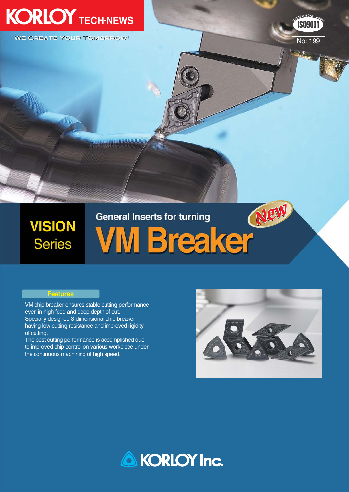# **KORLOY TECH-NEWS**

**WE CREATE YOUR TOMORROW!** 



ēG.

**ISO9001** 

# **VISION Series**

# General Inserts for turning (New

## **Features**

- VM chip breaker ensures stable cutting performance even in high feed and deep depth of cut.
- Specially designed 3-dimensional chip breaker having low cutting resistance and improved rigidity of cutting.
- The best cutting performance is accomplished due to improved chip control on various workpiece under the continuous machining of high speed.



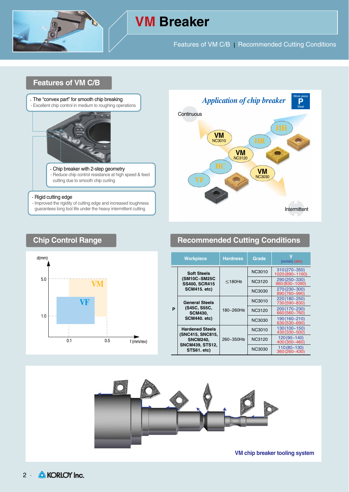

# **VM Breaker**

Features of VM C/B | Recommended Cutting Conditions

# **Features of VM C/B**



#### $\cdot$  Rigid cutting edge

- Improved the rigidity of cutting edge and increased toughness guarantees long tool life under the heavy intermittent cutting





# **Chip Control Range <b>Recommended Cutting Conditions**

| <b>Workpiece</b> |                                                                                                        | <b>Hardness</b> | Grade         | $(m/min)$ (sfm)                     |  |  |
|------------------|--------------------------------------------------------------------------------------------------------|-----------------|---------------|-------------------------------------|--|--|
|                  | <b>Soft Steels</b><br>(SM10C~SM25C<br><b>SS400, SCR415</b><br><b>SCM415. etc)</b>                      | $<$ 180HB       | <b>NC3010</b> | $310(270 - 350)$<br>1020 (890~1160) |  |  |
| P                |                                                                                                        |                 | <b>NC3120</b> | 290 (250~330)<br>960 (830~1090)     |  |  |
|                  |                                                                                                        |                 | NC3030        | 270 (230~300)<br>890 (760~990)      |  |  |
|                  | <b>General Steels</b><br>(S45C, S55C,<br><b>SCM430,</b><br><b>SCM440. etc)</b>                         |                 | NC3010        | 220 (180~250)<br>730 (590~830)      |  |  |
|                  |                                                                                                        | 180~260HB       | <b>NC3120</b> | 200 (170~230)<br>660 (560~760)      |  |  |
|                  |                                                                                                        |                 | NC3030        | 190 (160~210)<br>630 (530~690)      |  |  |
|                  | <b>Hardened Steels</b><br>(SNC415, SNC815,<br><b>SNCM240,</b><br><b>SNCM439, STS12,</b><br>STS61. etc) |                 | NC3010        | 130 (100~150)<br>430 (330~500)      |  |  |
|                  |                                                                                                        | 260~350HB       | <b>NC3120</b> | $120(90 - 140)$<br>400 (300~460)    |  |  |
|                  |                                                                                                        |                 | <b>NC3030</b> | $110(80 - 130)$<br>360 (260~430)    |  |  |



**VM chip breaker tooling system**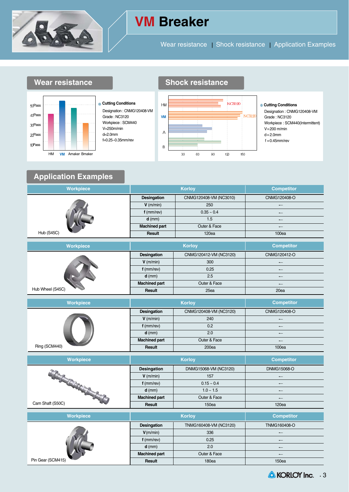

# **VM Breaker**

Wear resistance | Shock resistance | Application Examples









#### **Cutting Conditions**

Designation : CNMG120408-VM Grade : NC3120 Workpiece : SCM440(Intermittent) V=200 m/min  $d=2.0$ mm  $f = 0.45$ mm/rev

# **Application Examples**

| <b>Workpiece</b> |                      | <b>Korloy</b>          | <b>Competitor</b>        |  |  |
|------------------|----------------------|------------------------|--------------------------|--|--|
|                  | Desingation          | CNMG120408-VM (NC3010) | CNMG120408-O             |  |  |
|                  | $V$ (m/min)          | 250                    | $\overline{\phantom{0}}$ |  |  |
|                  | $f$ (mm/rev)         | $0.35 \sim 0.4$        |                          |  |  |
|                  | $d$ (mm)             | 1.5                    | $\overline{\phantom{0}}$ |  |  |
|                  | <b>Machined part</b> | Outer & Face           | $\longleftarrow$         |  |  |
| Hub (S45C)       | Result               | 120ea                  | 100ea                    |  |  |

| <b>Workpiece</b> |                      | <b>Korlov</b>          | <b>Competitor</b>        |  |  |
|------------------|----------------------|------------------------|--------------------------|--|--|
|                  | <b>Desingation</b>   | CNMG120412-VM (NC3120) | CNMG120412-O             |  |  |
|                  | $V$ (m/min)          | 300                    | $\overline{\phantom{0}}$ |  |  |
|                  | $f$ (mm/rev)         | 0.25                   | $\overline{\phantom{0}}$ |  |  |
|                  | $d$ (mm)             | 2.5                    | $\overline{\phantom{0}}$ |  |  |
|                  | <b>Machined part</b> | Outer & Face           | $\overline{\phantom{0}}$ |  |  |
| Hub Wheel (S45C) | Result               | 25ea                   | 20ea                     |  |  |

| Workpiece     |                      | <b>Korloy</b>          | <b>Competitor</b>        |  |  |
|---------------|----------------------|------------------------|--------------------------|--|--|
|               | Desingation          | CNMG120408-VM (NC3120) | CNMG120408-O             |  |  |
|               | $V$ (m/min)          | 240                    |                          |  |  |
|               | $f$ (mm/rev)         | 0.2                    | $\overline{\phantom{0}}$ |  |  |
|               | $d$ (mm)             | 2.0                    | $\overline{\phantom{0}}$ |  |  |
|               | <b>Machined part</b> | Outer & Face           | $\overline{\phantom{0}}$ |  |  |
| Ring (SCM440) | Result               | 200ea                  | 100ea                    |  |  |

| <b>Workpiece</b> |                      | <b>Korlov</b>         | <b>Competitor</b>        |  |  |
|------------------|----------------------|-----------------------|--------------------------|--|--|
|                  | <b>Desingation</b>   | DNMG15068-VM (NC3120) | DNMG15068-O              |  |  |
|                  | $V$ (m/min)          | 157                   | $\overline{\phantom{0}}$ |  |  |
|                  | $f$ (mm/rev)         | $0.15 \sim 0.4$       | $\overline{\phantom{0}}$ |  |  |
|                  | $d$ (mm)             | $1.0 \sim 1.5$        | $\overline{\phantom{0}}$ |  |  |
|                  | <b>Machined part</b> | Outer & Face          | $\overline{\phantom{0}}$ |  |  |
| Cam Shaft (S50C) | Result               | 150ea                 | 120ea                    |  |  |

| <b>Workpiece</b>  |                      | <b>Korlov</b>          | <b>Competitor</b>        |  |  |
|-------------------|----------------------|------------------------|--------------------------|--|--|
|                   | <b>Desingation</b>   | TNMG160408-VM (NC3120) | TNMG160408-O             |  |  |
|                   | V(m/min)             | 336                    | $\overline{\phantom{0}}$ |  |  |
|                   | $f$ (mm/rev)         | 0.25                   | $\overline{\phantom{0}}$ |  |  |
|                   | $d$ (mm)             | 2.0                    | $\overline{\phantom{0}}$ |  |  |
|                   | <b>Machined part</b> | Outer & Face           | $\overline{\phantom{0}}$ |  |  |
| Pin Gear (SCM415) | Result               | <b>180ea</b>           | 150ea                    |  |  |